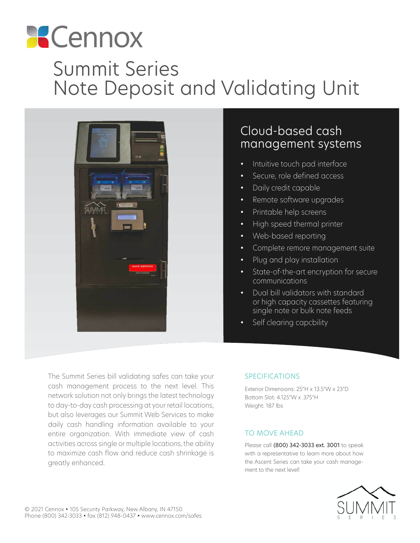# **ACennox** Summit Series Note Deposit and Validating Unit



### Cloud-based cash management systems

- Intuitive touch pad interface
- Secure, role defined access
- Daily credit capable
- Remote software upgrades
- Printable help screens
- High speed thermal printer
- Web-based reporting
- Complete remore management suite
- Plug and play installation
- State-of-the-art encryption for secure communications
- Dual bill validators with standard or high capacity cassettes featuring single note or bulk note feeds
- Self clearing capcbility

The Summit Series bill validating safes can take your cash management process to the next level. This network solution not only brings the latest technology to day-to-day cash processing at your retail locations, but also leverages our Summit Web Services to make daily cash handling information available to your entire organization. With immediate view of cash activities across single or multiple locations, the ability to maximize cash flow and reduce cash shrinkage is greatly enhanced.

#### SPECIFICATIONS

Exterior Dimensions: 25"H x 13.5"W x 23"D Bottom Slot: 4.125"W x .375"H Weight: 187 lbs

#### TO MOVE AHEAD

Please call (800) 342-3033 ext. 3001 to speak with a representative to learn more about how the Ascent Series can take your cash management to the next level!